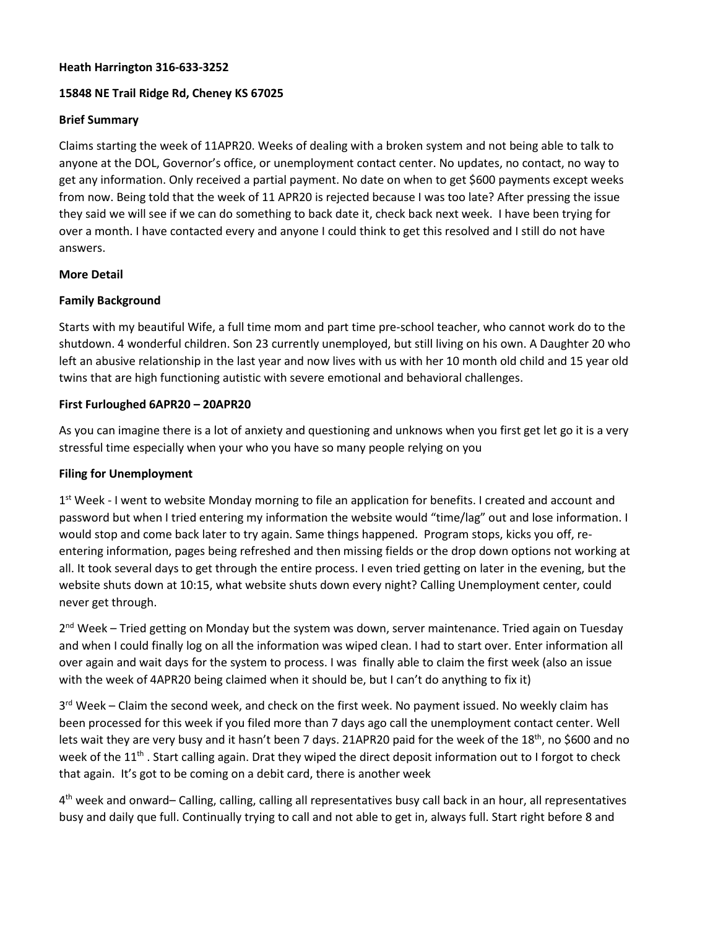## **Heath Harrington 316-633-3252**

## **15848 NE Trail Ridge Rd, Cheney KS 67025**

#### **Brief Summary**

Claims starting the week of 11APR20. Weeks of dealing with a broken system and not being able to talk to anyone at the DOL, Governor's office, or unemployment contact center. No updates, no contact, no way to get any information. Only received a partial payment. No date on when to get \$600 payments except weeks from now. Being told that the week of 11 APR20 is rejected because I was too late? After pressing the issue they said we will see if we can do something to back date it, check back next week. I have been trying for over a month. I have contacted every and anyone I could think to get this resolved and I still do not have answers.

#### **More Detail**

#### **Family Background**

Starts with my beautiful Wife, a full time mom and part time pre-school teacher, who cannot work do to the shutdown. 4 wonderful children. Son 23 currently unemployed, but still living on his own. A Daughter 20 who left an abusive relationship in the last year and now lives with us with her 10 month old child and 15 year old twins that are high functioning autistic with severe emotional and behavioral challenges.

#### **First Furloughed 6APR20 – 20APR20**

As you can imagine there is a lot of anxiety and questioning and unknows when you first get let go it is a very stressful time especially when your who you have so many people relying on you

# **Filing for Unemployment**

 $1<sup>st</sup>$  Week - I went to website Monday morning to file an application for benefits. I created and account and password but when I tried entering my information the website would "time/lag" out and lose information. I would stop and come back later to try again. Same things happened. Program stops, kicks you off, reentering information, pages being refreshed and then missing fields or the drop down options not working at all. It took several days to get through the entire process. I even tried getting on later in the evening, but the website shuts down at 10:15, what website shuts down every night? Calling Unemployment center, could never get through.

 $2<sup>nd</sup> Week - Tried getting on Monday but the system was down, server maintenance. Tried again on Tuesday$ and when I could finally log on all the information was wiped clean. I had to start over. Enter information all over again and wait days for the system to process. I was finally able to claim the first week (also an issue with the week of 4APR20 being claimed when it should be, but I can't do anything to fix it)

 $3<sup>rd</sup>$  Week – Claim the second week, and check on the first week. No payment issued. No weekly claim has been processed for this week if you filed more than 7 days ago call the unemployment contact center. Well lets wait they are very busy and it hasn't been 7 days. 21APR20 paid for the week of the 18<sup>th</sup>, no \$600 and no week of the  $11<sup>th</sup>$ . Start calling again. Drat they wiped the direct deposit information out to I forgot to check that again. It's got to be coming on a debit card, there is another week

4th week and onward– Calling, calling, calling all representatives busy call back in an hour, all representatives busy and daily que full. Continually trying to call and not able to get in, always full. Start right before 8 and